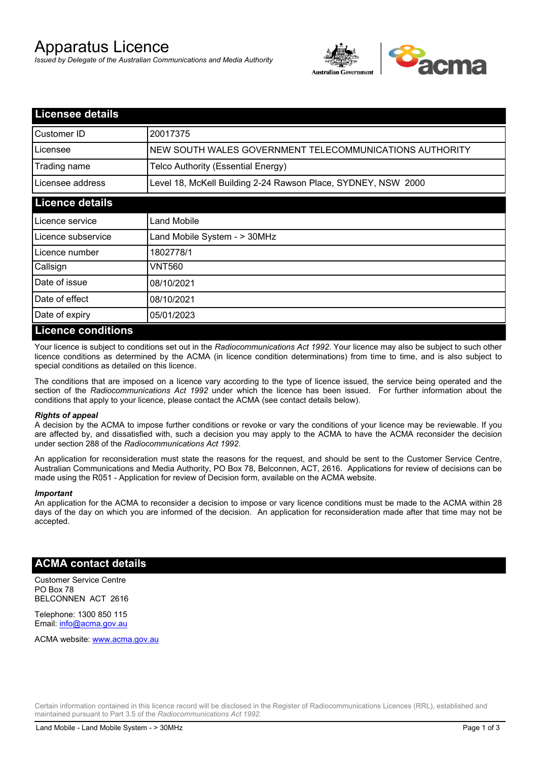# Apparatus Licence

*Issued by Delegate of the Australian Communications and Media Authority*



| <b>Licensee details</b>   |                                                               |
|---------------------------|---------------------------------------------------------------|
| Customer ID               | 20017375                                                      |
| Licensee                  | NEW SOUTH WALES GOVERNMENT TELECOMMUNICATIONS AUTHORITY       |
| Trading name              | Telco Authority (Essential Energy)                            |
| Licensee address          | Level 18, McKell Building 2-24 Rawson Place, SYDNEY, NSW 2000 |
| <b>Licence details</b>    |                                                               |
| Licence service           | Land Mobile                                                   |
| Licence subservice        | Land Mobile System - > 30MHz                                  |
| Licence number            | 1802778/1                                                     |
| Callsign                  | VNT560                                                        |
| Date of issue             | 08/10/2021                                                    |
| Date of effect            | 08/10/2021                                                    |
| Date of expiry            | 05/01/2023                                                    |
| <u>Licence conditions</u> |                                                               |

## **Licence conditions**

Your licence is subject to conditions set out in the *Radiocommunications Act 1992*. Your licence may also be subject to such other licence conditions as determined by the ACMA (in licence condition determinations) from time to time, and is also subject to special conditions as detailed on this licence.

The conditions that are imposed on a licence vary according to the type of licence issued, the service being operated and the section of the *Radiocommunications Act 1992* under which the licence has been issued. For further information about the conditions that apply to your licence, please contact the ACMA (see contact details below).

#### *Rights of appeal*

A decision by the ACMA to impose further conditions or revoke or vary the conditions of your licence may be reviewable. If you are affected by, and dissatisfied with, such a decision you may apply to the ACMA to have the ACMA reconsider the decision under section 288 of the *Radiocommunications Act 1992*.

An application for reconsideration must state the reasons for the request, and should be sent to the Customer Service Centre, Australian Communications and Media Authority, PO Box 78, Belconnen, ACT, 2616. Applications for review of decisions can be made using the R051 - Application for review of Decision form, available on the ACMA website.

#### *Important*

An application for the ACMA to reconsider a decision to impose or vary licence conditions must be made to the ACMA within 28 days of the day on which you are informed of the decision. An application for reconsideration made after that time may not be accepted.

### **ACMA contact details**

Customer Service Centre PO Box 78 BELCONNEN ACT 2616

Telephone: 1300 850 115 Email: info@acma.gov.au

ACMA website: www.acma.gov.au

Certain information contained in this licence record will be disclosed in the Register of Radiocommunications Licences (RRL), established and maintained pursuant to Part 3.5 of the *Radiocommunications Act 1992.*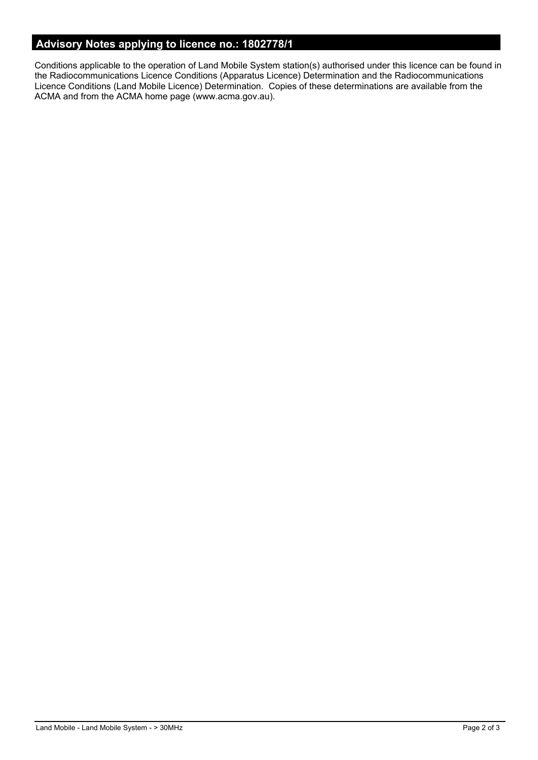# **Advisory Notes applying to licence no.: 1802778/1**

Conditions applicable to the operation of Land Mobile System station(s) authorised under this licence can be found in the Radiocommunications Licence Conditions (Apparatus Licence) Determination and the Radiocommunications Licence Conditions (Land Mobile Licence) Determination. Copies of these determinations are available from the ACMA and from the ACMA home page (www.acma.gov.au).